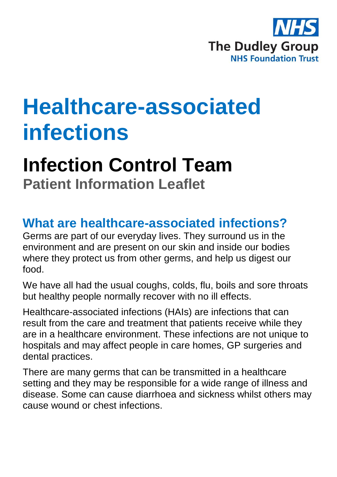

# **Healthcare-associated infections**

## **Infection Control Team Patient Information Leaflet**

### **What are healthcare-associated infections?**

Germs are part of our everyday lives. They surround us in the environment and are present on our skin and inside our bodies where they protect us from other germs, and help us digest our food.

We have all had the usual coughs, colds, flu, boils and sore throats but healthy people normally recover with no ill effects.

Healthcare-associated infections (HAIs) are infections that can result from the care and treatment that patients receive while they are in a healthcare environment. These infections are not unique to hospitals and may affect people in care homes, GP surgeries and dental practices.

There are many germs that can be transmitted in a healthcare setting and they may be responsible for a wide range of illness and disease. Some can cause diarrhoea and sickness whilst others may cause wound or chest infections.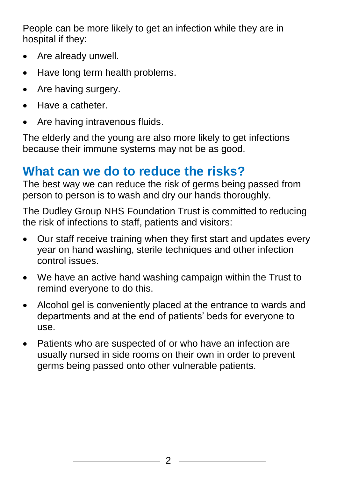People can be more likely to get an infection while they are in hospital if they:

- Are already unwell.
- Have long term health problems.
- Are having surgery.
- Have a catheter.
- Are having intravenous fluids.

The elderly and the young are also more likely to get infections because their immune systems may not be as good.

## **What can we do to reduce the risks?**

The best way we can reduce the risk of germs being passed from person to person is to wash and dry our hands thoroughly.

The Dudley Group NHS Foundation Trust is committed to reducing the risk of infections to staff, patients and visitors:

- Our staff receive training when they first start and updates every year on hand washing, sterile techniques and other infection control issues.
- We have an active hand washing campaign within the Trust to remind everyone to do this.
- Alcohol gel is conveniently placed at the entrance to wards and departments and at the end of patients' beds for everyone to use.
- Patients who are suspected of or who have an infection are usually nursed in side rooms on their own in order to prevent germs being passed onto other vulnerable patients.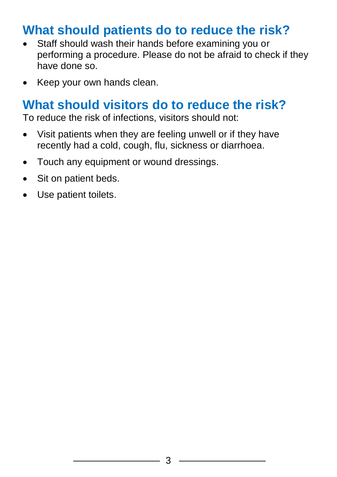### **What should patients do to reduce the risk?**

- Staff should wash their hands before examining you or performing a procedure. Please do not be afraid to check if they have done so.
- Keep your own hands clean.

#### **What should visitors do to reduce the risk?**

To reduce the risk of infections, visitors should not:

- Visit patients when they are feeling unwell or if they have recently had a cold, cough, flu, sickness or diarrhoea.
- Touch any equipment or wound dressings.
- Sit on patient beds.
- Use patient toilets.